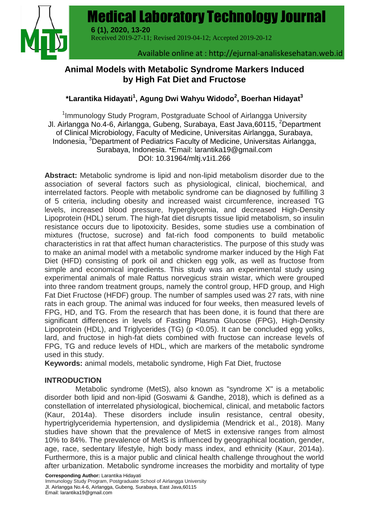Medical Laboratory Technology Journal



 Received 2019-27-11; Revised 2019-04-12; Accepted 2019-20-12 **6 (1), 2020, 13-20**

#### Available online at : http://ejurnal-analiskesehatan.web.id

**Medical Laboratory Technology Journal** | **13**

# **Animal Models with Metabolic Syndrome Markers Induced by High Fat Diet and Fructose**

## **\*Larantika Hidayati<sup>1</sup> , Agung Dwi Wahyu Widodo<sup>2</sup> , Boerhan Hidayat<sup>3</sup>**

<sup>1</sup>Immunology Study Program, Postgraduate School of Airlangga University Jl. Airlangga No.4-6, Airlangga, Gubeng, Surabaya, East Java,60115, <sup>2</sup>Department of Clinical Microbiology, Faculty of Medicine, Universitas Airlangga, Surabaya, Indonesia, <sup>3</sup>Department of Pediatrics Faculty of Medicine, Universitas Airlangga, Surabaya, Indonesia. \*Email: [larantika19@gmail.com](mailto:larantika19@gmail.com) DOI: 10.31964/mltj.v1i1.266

**Abstract:** Metabolic syndrome is lipid and non-lipid metabolism disorder due to the association of several factors such as physiological, clinical, biochemical, and interrelated factors. People with metabolic syndrome can be diagnosed by fulfilling 3 of 5 criteria, including obesity and increased waist circumference, increased TG levels, increased blood pressure, hyperglycemia, and decreased High-Density Lipoprotein (HDL) serum. The high-fat diet disrupts tissue lipid metabolism, so insulin resistance occurs due to lipotoxicity. Besides, some studies use a combination of mixtures (fructose, sucrose) and fat-rich food components to build metabolic characteristics in rat that affect human characteristics. The purpose of this study was to make an animal model with a metabolic syndrome marker induced by the High Fat Diet (HFD) consisting of pork oil and chicken egg yolk, as well as fructose from simple and economical ingredients. This study was an experimental study using experimental animals of male Rattus norvegicus strain wistar, which were grouped into three random treatment groups, namely the control group, HFD group, and High Fat Diet Fructose (HFDF) group. The number of samples used was 27 rats, with nine rats in each group. The animal was induced for four weeks, then measured levels of FPG, HD, and TG. From the research that has been done, it is found that there are significant differences in levels of Fasting Plasma Glucose (FPG), High-Density Lipoprotein (HDL), and Triglycerides (TG) (p <0.05). It can be concluded egg yolks, lard, and fructose in high-fat diets combined with fructose can increase levels of FPG, TG and reduce levels of HDL, which are markers of the metabolic syndrome used in this study.

**Keywords:** animal models, metabolic syndrome, High Fat Diet, fructose

## **INTRODUCTION**

Metabolic syndrome (MetS), also known as "syndrome X" is a metabolic disorder both lipid and non-lipid (Goswami & Gandhe, 2018), which is defined as a constellation of interrelated physiological, biochemical, clinical, and metabolic factors (Kaur, 2014a). These disorders include insulin resistance, central obesity, hypertriglyceridemia hypertension, and dyslipidemia (Mendrick et al., 2018). Many studies have shown that the prevalence of MetS in extensive ranges from almost 10% to 84%. The prevalence of MetS is influenced by geographical location, gender, age, race, sedentary lifestyle, high body mass index, and ethnicity (Kaur, 2014a). Furthermore, this is a major public and clinical health challenge throughout the world after urbanization. Metabolic syndrome increases the morbidity and mortality of type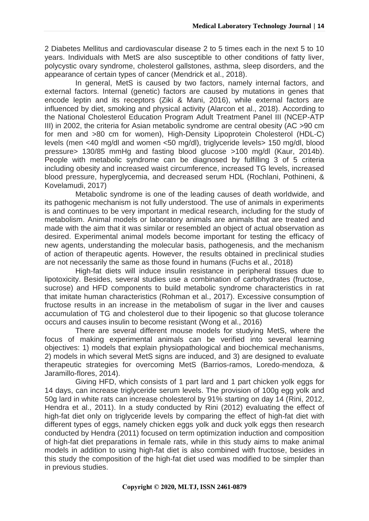2 Diabetes Mellitus and cardiovascular disease 2 to 5 times each in the next 5 to 10 years. Individuals with MetS are also susceptible to other conditions of fatty liver, polycystic ovary syndrome, cholesterol gallstones, asthma, sleep disorders, and the appearance of certain types of cancer (Mendrick et al., 2018).

In general, MetS is caused by two factors, namely internal factors, and external factors. Internal (genetic) factors are caused by mutations in genes that encode leptin and its receptors (Ziki & Mani, 2016), while external factors are influenced by diet, smoking and physical activity (Alarcon et al., 2018). According to the National Cholesterol Education Program Adult Treatment Panel III (NCEP-ATP III) in 2002, the criteria for Asian metabolic syndrome are central obesity (AC >90 cm for men and >80 cm for women), High-Density Lipoprotein Cholesterol (HDL-C) levels (men <40 mg/dl and women <50 mg/dl), triglyceride levels> 150 mg/dl, blood pressure> 130/85 mmHg and fasting blood glucose >100 mg/dl (Kaur, 2014b). People with metabolic syndrome can be diagnosed by fulfilling 3 of 5 criteria including obesity and increased waist circumference, increased TG levels, increased blood pressure, hyperglycemia, and decreased serum HDL (Rochlani, Pothineni, & Kovelamudi, 2017)

Metabolic syndrome is one of the leading causes of death worldwide, and its pathogenic mechanism is not fully understood. The use of animals in experiments is and continues to be very important in medical research, including for the study of metabolism. Animal models or laboratory animals are animals that are treated and made with the aim that it was similar or resembled an object of actual observation as desired. Experimental animal models become important for testing the efficacy of new agents, understanding the molecular basis, pathogenesis, and the mechanism of action of therapeutic agents. However, the results obtained in preclinical studies are not necessarily the same as those found in humans (Fuchs et al., 2018)

High-fat diets will induce insulin resistance in peripheral tissues due to lipotoxicity. Besides, several studies use a combination of carbohydrates (fructose, sucrose) and HFD components to build metabolic syndrome characteristics in rat that imitate human characteristics (Rohman et al., 2017). Excessive consumption of fructose results in an increase in the metabolism of sugar in the liver and causes accumulation of TG and cholesterol due to their lipogenic so that glucose tolerance occurs and causes insulin to become resistant (Wong et al., 2016)

There are several different mouse models for studying MetS, where the focus of making experimental animals can be verified into several learning objectives: 1) models that explain physiopathological and biochemical mechanisms, 2) models in which several MetS signs are induced, and 3) are designed to evaluate therapeutic strategies for overcoming MetS (Barrios-ramos, Loredo-mendoza, & Jaramillo-flores, 2014).

Giving HFD, which consists of 1 part lard and 1 part chicken yolk eggs for 14 days, can increase triglyceride serum levels. The provision of 100g egg yolk and 50g lard in white rats can increase cholesterol by 91% starting on day 14 (Rini, 2012, Hendra et al., 2011). In a study conducted by Rini (2012) evaluating the effect of high-fat diet only on triglyceride levels by comparing the effect of high-fat diet with different types of eggs, namely chicken eggs yolk and duck yolk eggs then research conducted by Hendra (2011) focused on term optimization induction and composition of high-fat diet preparations in female rats, while in this study aims to make animal models in addition to using high-fat diet is also combined with fructose, besides in this study the composition of the high-fat diet used was modified to be simpler than in previous studies.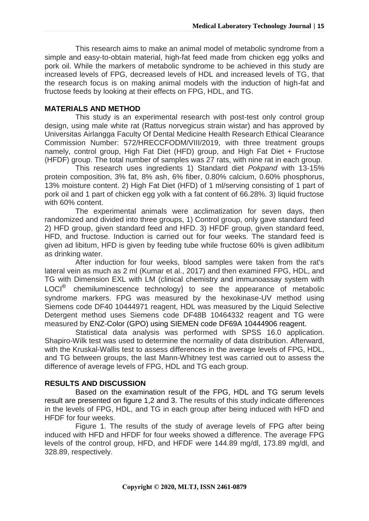This research aims to make an animal model of metabolic syndrome from a simple and easy-to-obtain material, high-fat feed made from chicken egg yolks and pork oil. While the markers of metabolic syndrome to be achieved in this study are increased levels of FPG, decreased levels of HDL and increased levels of TG, that the research focus is on making animal models with the induction of high-fat and fructose feeds by looking at their effects on FPG, HDL, and TG.

#### **MATERIALS AND METHOD**

This study is an experimental research with post-test only control group design, using male white rat (Rattus norvegicus strain wistar) and has approved by Universitas Airlangga Faculty Of Dental Medicine Health Research Ethical Clearance Commission Number: 572/HRECCFODM/VIII/2019, with three treatment groups namely, control group, High Fat Diet (HFD) group, and High Fat Diet + Fructose (HFDF) group. The total number of samples was 27 rats, with nine rat in each group.

This research uses ingredients 1) Standard diet *Pokpand* with 13-15% protein composition, 3% fat, 8% ash, 6% fiber, 0.80% calcium, 0.60% phosphorus, 13% moisture content. 2) High Fat Diet (HFD) of 1 ml/serving consisting of 1 part of pork oil and 1 part of chicken egg yolk with a fat content of 66.28%. 3) liquid fructose with 60% content.

The experimental animals were acclimatization for seven days, then randomized and divided into three groups, 1) Control group, only gave standard feed 2) HFD group, given standard feed and HFD. 3) HFDF group, given standard feed, HFD, and fructose. Induction is carried out for four weeks. The standard feed is given ad libitum, HFD is given by feeding tube while fructose 60% is given adlibitum as drinking water.

After induction for four weeks, blood samples were taken from the rat's lateral vein as much as 2 ml (Kumar et al., 2017) and then examined FPG, HDL, and TG with Dimension EXL with LM (clinical chemistry and immunoassay system with LOCI<sup>®</sup> chemiluminescence technology) to see the appearance of metabolic syndrome markers. FPG was measured by the hexokinase-UV method using Siemens code DF40 10444971 reagent, HDL was measured by the Liquid Selective Detergent method uses Siemens code DF48B 10464332 reagent and TG were measured by ENZ-Color (GPO) using SIEMEN code DF69A 10444906 reagent.

Statistical data analysis was performed with SPSS 16.0 application. Shapiro-Wilk test was used to determine the normality of data distribution. Afterward, with the Kruskal-Wallis test to assess differences in the average levels of FPG, HDL, and TG between groups, the last Mann-Whitney test was carried out to assess the difference of average levels of FPG, HDL and TG each group.

#### **RESULTS AND DISCUSSION**

Based on the examination result of the FPG, HDL and TG serum levels result are presented on figure 1,2 and 3. The results of this study indicate differences in the levels of FPG, HDL, and TG in each group after being induced with HFD and HFDF for four weeks.

Figure 1. The results of the study of average levels of FPG after being induced with HFD and HFDF for four weeks showed a difference. The average FPG levels of the control group, HFD, and HFDF were 144.89 mg/dl, 173.89 mg/dl, and 328.89, respectively.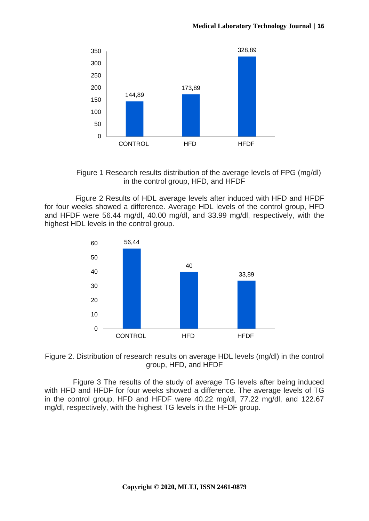

Figure 1 Research results distribution of the average levels of FPG (mg/dl) in the control group, HFD, and HFDF

Figure 2 Results of HDL average levels after induced with HFD and HFDF for four weeks showed a difference. Average HDL levels of the control group, HFD and HFDF were 56.44 mg/dl, 40.00 mg/dl, and 33.99 mg/dl, respectively, with the highest HDL levels in the control group.





Figure 3 The results of the study of average TG levels after being induced with HFD and HFDF for four weeks showed a difference. The average levels of TG in the control group, HFD and HFDF were 40.22 mg/dl, 77.22 mg/dl, and 122.67 mg/dl, respectively, with the highest TG levels in the HFDF group.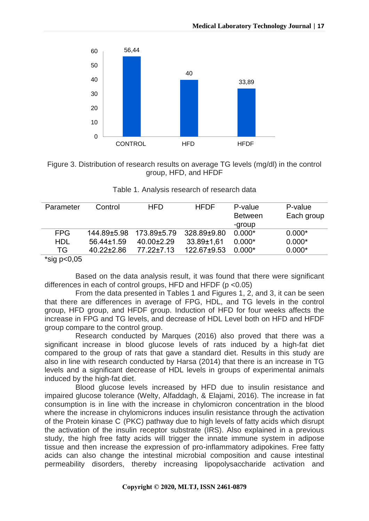



| Parameter                                   | Control          | <b>HFD</b>       | <b>HFDF</b> | P-value        | P-value    |
|---------------------------------------------|------------------|------------------|-------------|----------------|------------|
|                                             |                  |                  |             | <b>Between</b> | Each group |
|                                             |                  |                  |             | -group         |            |
| <b>FPG</b>                                  | 144.89±5.98      | 173.89±5.79      | 328.89±9.80 | $0.000*$       | $0.000*$   |
| <b>HDL</b>                                  | 56.44±1.59       | $40.00 \pm 2.29$ | 33.89±1,61  | $0.000*$       | $0.000*$   |
| TG                                          | $40.22 \pm 2.86$ | $77.22 \pm 7.13$ | 122.67±9.53 | $0.000*$       | $0.000*$   |
| $*$ cia n $\sim$ $\cap$ $\cap$ $\bar{\sim}$ |                  |                  |             |                |            |

| Table 1. Analysis research of research data |  |  |
|---------------------------------------------|--|--|
|---------------------------------------------|--|--|

#### ʻsig p<0,05

Based on the data analysis result, it was found that there were significant differences in each of control groups, HFD and HFDF ( $p < 0.05$ )

From the data presented in Tables 1 and Figures 1, 2, and 3, it can be seen that there are differences in average of FPG, HDL, and TG levels in the control group, HFD group, and HFDF group. Induction of HFD for four weeks affects the increase in FPG and TG levels, and decrease of HDL Level both on HFD and HFDF group compare to the control group.

Research conducted by Marques (2016) also proved that there was a significant increase in blood glucose levels of rats induced by a high-fat diet compared to the group of rats that gave a standard diet. Results in this study are also in line with research conducted by Harsa (2014) that there is an increase in TG levels and a significant decrease of HDL levels in groups of experimental animals induced by the high-fat diet.

Blood glucose levels increased by HFD due to insulin resistance and impaired glucose tolerance (Welty, Alfaddagh, & Elajami, 2016). The increase in fat consumption is in line with the increase in chylomicron concentration in the blood where the increase in chylomicrons induces insulin resistance through the activation of the Protein kinase C (PKC) pathway due to high levels of fatty acids which disrupt the activation of the insulin receptor substrate (IRS). Also explained in a previous study, the high free fatty acids will trigger the innate immune system in adipose tissue and then increase the expression of pro-inflammatory adipokines. Free fatty acids can also change the intestinal microbial composition and cause intestinal permeability disorders, thereby increasing lipopolysaccharide activation and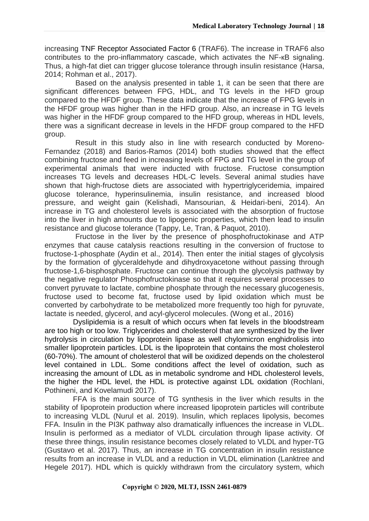increasing TNF Receptor Associated Factor 6 (TRAF6). The increase in TRAF6 also contributes to the pro-inflammatory cascade, which activates the NF-кB signaling. Thus, a high-fat diet can trigger glucose tolerance through insulin resistance (Harsa, 2014; Rohman et al., 2017).

Based on the analysis presented in table 1, it can be seen that there are significant differences between FPG, HDL, and TG levels in the HFD group compared to the HFDF group. These data indicate that the increase of FPG levels in the HFDF group was higher than in the HFD group. Also, an increase in TG levels was higher in the HFDF group compared to the HFD group, whereas in HDL levels, there was a significant decrease in levels in the HFDF group compared to the HFD group.

Result in this study also in line with research conducted by Moreno-Fernandez (2018) and Barios-Ramos (2014) both studies showed that the effect combining fructose and feed in increasing levels of FPG and TG level in the group of experimental animals that were inducted with fructose. Fructose consumption increases TG levels and decreases HDL-C levels. Several animal studies have shown that high-fructose diets are associated with hypertriglyceridemia, impaired glucose tolerance, hyperinsulinemia, insulin resistance, and increased blood pressure, and weight gain (Kelishadi, Mansourian, & Heidari-beni, 2014). An increase in TG and cholesterol levels is associated with the absorption of fructose into the liver in high amounts due to lipogenic properties, which then lead to insulin resistance and glucose tolerance (Tappy, Le, Tran, & Paquot, 2010).

Fructose in the liver by the presence of phosphofructokinase and ATP enzymes that cause catalysis reactions resulting in the conversion of fructose to fructose-1-phosphate (Aydin et al., 2014). Then enter the initial stages of glycolysis by the formation of glyceraldehyde and dihydroxyacetone without passing through fructose-1,6-bisphosphate. Fructose can continue through the glycolysis pathway by the negative regulator Phosphofructokinase so that it requires several processes to convert pyruvate to lactate, combine phosphate through the necessary glucogenesis, fructose used to become fat, fructose used by lipid oxidation which must be converted by carbohydrate to be metabolized more frequently too high for pyruvate, lactate is needed, glycerol, and acyl-glycerol molecules. (Wong et al., 2016)

Dyslipidemia is a result of which occurs when fat levels in the bloodstream are too high or too low. Triglycerides and cholesterol that are synthesized by the liver hydrolysis in circulation by lipoprotein lipase as well chylomicron enghidrolisis into smaller lipoprotein particles. LDL is the lipoprotein that contains the most cholesterol (60-70%). The amount of cholesterol that will be oxidized depends on the cholesterol level contained in LDL. Some conditions affect the level of oxidation, such as increasing the amount of LDL as in metabolic syndrome and HDL cholesterol levels, the higher the HDL level, the HDL is protective against LDL oxidation (Rochlani, Pothineni, and Kovelamudi 2017).

FFA is the main source of TG synthesis in the liver which results in the stability of lipoprotein production where increased lipoprotein particles will contribute to increasing VLDL (Nurul et al. 2019). Insulin, which replaces lipolysis, becomes FFA. Insulin in the PI3K pathway also dramatically influences the increase in VLDL. Insulin is performed as a mediator of VLDL circulation through lipase activity. Of these three things, insulin resistance becomes closely related to VLDL and hyper-TG (Gustavo et al. 2017). Thus, an increase in TG concentration in insulin resistance results from an increase in VLDL and a reduction in VLDL elimination (Lanktree and Hegele 2017). HDL which is quickly withdrawn from the circulatory system, which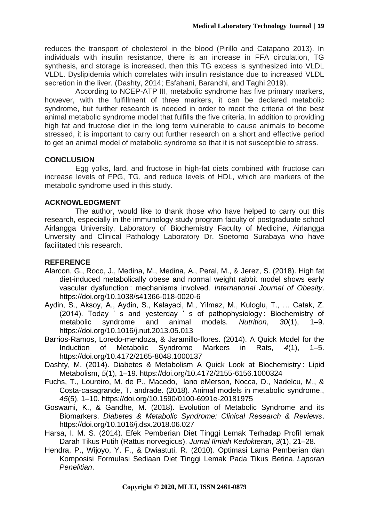reduces the transport of cholesterol in the blood (Pirillo and Catapano 2013). In individuals with insulin resistance, there is an increase in FFA circulation, TG synthesis, and storage is increased, then this TG excess is synthesized into VLDL VLDL. Dyslipidemia which correlates with insulin resistance due to increased VLDL secretion in the liver. (Dashty, 2014; Esfahani, Baranchi, and Taghi 2019).

According to NCEP-ATP III, metabolic syndrome has five primary markers, however, with the fulfillment of three markers, it can be declared metabolic syndrome, but further research is needed in order to meet the criteria of the best animal metabolic syndrome model that fulfills the five criteria. In addition to providing high fat and fructose diet in the long term vulnerable to cause animals to become stressed, it is important to carry out further research on a short and effective period to get an animal model of metabolic syndrome so that it is not susceptible to stress.

### **CONCLUSION**

Egg yolks, lard, and fructose in high-fat diets combined with fructose can increase levels of FPG, TG, and reduce levels of HDL, which are markers of the metabolic syndrome used in this study.

### **ACKNOWLEDGMENT**

The author, would like to thank those who have helped to carry out this research, especially in the immunology study program faculty of postgraduate school Airlangga University, Laboratory of Biochemistry Faculty of Medicine, Airlangga Unversity and Clinical Pathology Laboratory Dr. Soetomo Surabaya who have facilitated this research.

## **REFERENCE**

- Alarcon, G., Roco, J., Medina, M., Medina, A., Peral, M., & Jerez, S. (2018). High fat diet-induced metabolically obese and normal weight rabbit model shows early vascular dysfunction : mechanisms involved. *International Journal of Obesity*. https://doi.org/10.1038/s41366-018-0020-6
- Aydin, S., Aksoy, A., Aydin, S., Kalayaci, M., Yilmaz, M., Kuloglu, T., … Catak, Z. (2014). Today ' s and yesterday ' s of pathophysiology : Biochemistry of metabolic syndrome and animal models. *Nutrition*, *30*(1), 1–9. https://doi.org/10.1016/j.nut.2013.05.013
- Barrios-Ramos, Loredo-mendoza, & Jaramillo-flores. (2014). A Quick Model for the Induction of Metabolic Syndrome Markers in Rats, *4*(1), 1–5. https://doi.org/10.4172/2165-8048.1000137
- Dashty, M. (2014). Diabetes & Metabolism A Quick Look at Biochemistry : Lipid Metabolism, *5*(1), 1–19. https://doi.org/10.4172/2155-6156.1000324
- Fuchs, T., Loureiro, M. de P., Macedo, lano eMerson, Nocca, D., Nadelcu, M., & Costa-casagrande, T. andrade. (2018). Animal models in metabolic syndrome., *45*(5), 1–10. https://doi.org/10.1590/0100-6991e-20181975
- Goswami, K., & Gandhe, M. (2018). Evolution of Metabolic Syndrome and its Biomarkers. *Diabetes & Metabolic Syndrome: Clinical Research & Reviews*. https://doi.org/10.1016/j.dsx.2018.06.027
- Harsa, I. M. S. (2014). Efek Pemberian Diet Tinggi Lemak Terhadap Profil lemak Darah Tikus Putih (Rattus norvegicus). *Jurnal Ilmiah Kedokteran*, *3*(1), 21–28.
- Hendra, P., Wijoyo, Y. F., & Dwiastuti, R. (2010). Optimasi Lama Pemberian dan Komposisi Formulasi Sediaan Diet Tinggi Lemak Pada Tikus Betina. *Laporan Penelitian*.